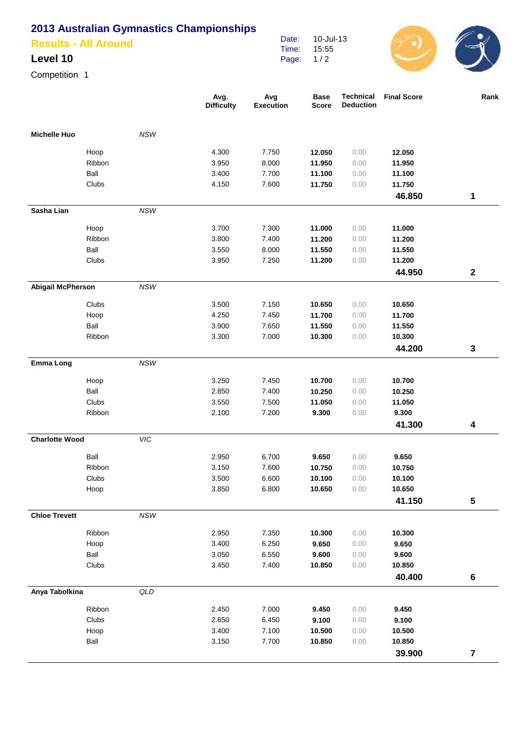## **2013 Australian Gymnastics Championships**

| <b>Results - All Around</b> |  |
|-----------------------------|--|
|                             |  |

## **Level 10**

Competition 1

|                          |        |            | Avg.<br><b>Difficulty</b> | Avg<br><b>Execution</b> | <b>Base</b><br><b>Score</b> | Technical<br><b>Deduction</b> | <b>Final Score</b> | Rank             |
|--------------------------|--------|------------|---------------------------|-------------------------|-----------------------------|-------------------------------|--------------------|------------------|
| <b>Michelle Huo</b>      |        | NSW        |                           |                         |                             |                               |                    |                  |
|                          | Hoop   |            | 4.300                     | 7.750                   | 12.050                      | 0.00                          | 12.050             |                  |
|                          | Ribbon |            | 3.950                     | 8.000                   | 11.950                      | 0.00                          | 11.950             |                  |
|                          | Ball   |            | 3.400                     | 7.700                   | 11.100                      | 0.00                          | 11.100             |                  |
|                          | Clubs  |            | 4.150                     | 7.600                   | 11.750                      | 0.00                          | 11.750             |                  |
|                          |        |            |                           |                         |                             |                               | 46.850             | 1                |
| Sasha Lian               |        | <b>NSW</b> |                           |                         |                             |                               |                    |                  |
|                          | Hoop   |            | 3.700                     | 7.300                   | 11.000                      | 0.00                          | 11.000             |                  |
|                          | Ribbon |            | 3.800                     | 7.400                   | 11.200                      | 0.00                          | 11.200             |                  |
|                          | Ball   |            | 3.550                     | 8.000                   | 11.550                      | 0.00                          | 11.550             |                  |
|                          | Clubs  |            | 3.950                     | 7.250                   | 11.200                      | 0.00                          | 11.200             |                  |
|                          |        |            |                           |                         |                             |                               | 44.950             | $\boldsymbol{2}$ |
| <b>Abigail McPherson</b> |        | <b>NSW</b> |                           |                         |                             |                               |                    |                  |
|                          | Clubs  |            | 3.500                     | 7.150                   | 10.650                      | 0.00                          | 10.650             |                  |
|                          | Hoop   |            | 4.250                     | 7.450                   | 11.700                      | 0.00                          | 11.700             |                  |
|                          | Ball   |            | 3.900                     | 7.650                   | 11.550                      | 0.00                          | 11.550             |                  |
|                          | Ribbon |            | 3.300                     | 7.000                   | 10.300                      | 0.00                          | 10.300             |                  |
|                          |        |            |                           |                         |                             |                               | 44.200             | 3                |
| <b>Emma Long</b>         |        | NSW        |                           |                         |                             |                               |                    |                  |
|                          | Hoop   |            | 3.250                     | 7.450                   | 10.700                      | 0.00                          | 10.700             |                  |
|                          | Ball   |            | 2.850                     | 7.400                   | 10.250                      | 0.00                          | 10.250             |                  |
|                          | Clubs  |            | 3.550                     | 7.500                   | 11.050                      | 0.00                          | 11.050             |                  |
|                          | Ribbon |            | 2.100                     | 7.200                   | 9.300                       | 0.00                          | 9.300              |                  |
|                          |        |            |                           |                         |                             |                               | 41.300             | 4                |
| <b>Charlotte Wood</b>    |        | <b>VIC</b> |                           |                         |                             |                               |                    |                  |
|                          | Ball   |            | 2.950                     | 6.700                   | 9.650                       | 0.00                          | 9.650              |                  |
|                          | Ribbon |            | 3.150                     | 7.600                   | 10.750                      | 0.00                          | 10.750             |                  |
|                          | Clubs  |            | 3.500                     | 6.600                   | 10.100                      | 0.00                          | 10.100             |                  |
|                          | Hoop   |            | 3.850                     | 6.800                   | 10.650                      | 0.00                          | 10.650             |                  |
|                          |        |            |                           |                         |                             |                               | 41.150             | 5                |
| <b>Chloe Trevett</b>     |        | $NSW$      |                           |                         |                             |                               |                    |                  |
|                          | Ribbon |            | 2.950                     | 7.350                   | 10.300                      | 0.00                          | 10.300             |                  |
|                          | Hoop   |            | 3.400                     | 6.250                   | 9.650                       | 0.00                          | 9.650              |                  |
|                          | Ball   |            | 3.050                     | 6.550                   | 9.600                       | 0.00                          | 9.600              |                  |
|                          | Clubs  |            | 3.450                     | 7.400                   | 10.850                      | 0.00                          | 10.850             |                  |
|                          |        |            |                           |                         |                             |                               | 40.400             | $\bf 6$          |
| Anya Tabolkina           |        | QLD        |                           |                         |                             |                               |                    |                  |
|                          | Ribbon |            | 2.450                     | 7.000                   | 9.450                       | 0.00                          | 9.450              |                  |
|                          | Clubs  |            | 2.650                     | 6.450                   | 9.100                       | 0.00                          | 9.100              |                  |
|                          | Hoop   |            | 3.400                     | 7.100                   | 10.500                      | 0.00                          | 10.500             |                  |
|                          | Ball   |            | 3.150                     | 7.700                   | 10.850                      | 0.00                          | 10.850             |                  |
|                          |        |            |                           |                         |                             |                               | 39.900             | $\overline{7}$   |

Date: Time: Page:

10-Jul-13 15:55 1 / 2

 $\bigodot$